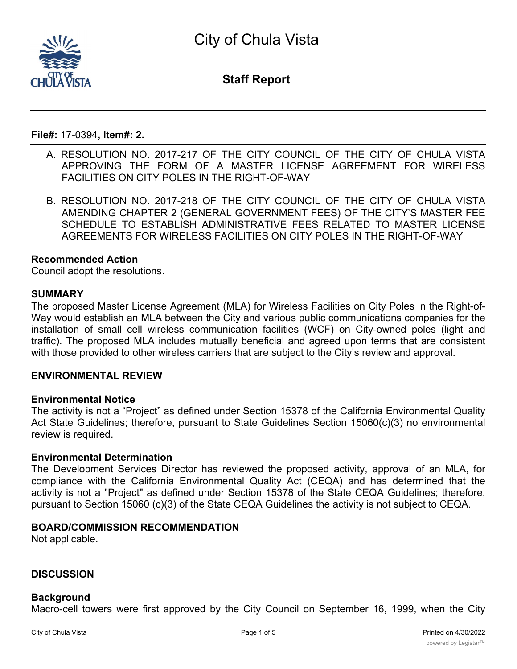

**Staff Report**

**File#:** 17-0394**, Item#: 2.**

- A. RESOLUTION NO. 2017-217 OF THE CITY COUNCIL OF THE CITY OF CHULA VISTA APPROVING THE FORM OF A MASTER LICENSE AGREEMENT FOR WIRELESS FACILITIES ON CITY POLES IN THE RIGHT-OF-WAY
- B. RESOLUTION NO. 2017-218 OF THE CITY COUNCIL OF THE CITY OF CHULA VISTA AMENDING CHAPTER 2 (GENERAL GOVERNMENT FEES) OF THE CITY'S MASTER FEE SCHEDULE TO ESTABLISH ADMINISTRATIVE FEES RELATED TO MASTER LICENSE AGREEMENTS FOR WIRELESS FACILITIES ON CITY POLES IN THE RIGHT-OF-WAY

## **Recommended Action**

Council adopt the resolutions.

## **SUMMARY**

The proposed Master License Agreement (MLA) for Wireless Facilities on City Poles in the Right-of-Way would establish an MLA between the City and various public communications companies for the installation of small cell wireless communication facilities (WCF) on City-owned poles (light and traffic). The proposed MLA includes mutually beneficial and agreed upon terms that are consistent with those provided to other wireless carriers that are subject to the City's review and approval.

## **ENVIRONMENTAL REVIEW**

## **Environmental Notice**

The activity is not a "Project" as defined under Section 15378 of the California Environmental Quality Act State Guidelines; therefore, pursuant to State Guidelines Section 15060(c)(3) no environmental review is required.

## **Environmental Determination**

The Development Services Director has reviewed the proposed activity, approval of an MLA, for compliance with the California Environmental Quality Act (CEQA) and has determined that the activity is not a "Project" as defined under Section 15378 of the State CEQA Guidelines; therefore, pursuant to Section 15060 (c)(3) of the State CEQA Guidelines the activity is not subject to CEQA.

## **BOARD/COMMISSION RECOMMENDATION**

Not applicable.

## **DISCUSSION**

## **Background**

Macro-cell towers were first approved by the City Council on September 16, 1999, when the City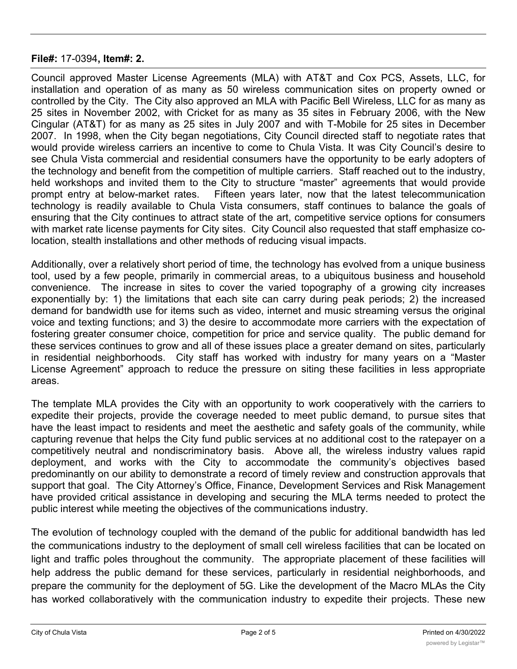Council approved Master License Agreements (MLA) with AT&T and Cox PCS, Assets, LLC, for installation and operation of as many as 50 wireless communication sites on property owned or controlled by the City. The City also approved an MLA with Pacific Bell Wireless, LLC for as many as 25 sites in November 2002, with Cricket for as many as 35 sites in February 2006, with the New Cingular (AT&T) for as many as 25 sites in July 2007 and with T-Mobile for 25 sites in December 2007. In 1998, when the City began negotiations, City Council directed staff to negotiate rates that would provide wireless carriers an incentive to come to Chula Vista. It was City Council's desire to see Chula Vista commercial and residential consumers have the opportunity to be early adopters of the technology and benefit from the competition of multiple carriers. Staff reached out to the industry, held workshops and invited them to the City to structure "master" agreements that would provide prompt entry at below-market rates. Fifteen years later, now that the latest telecommunication technology is readily available to Chula Vista consumers, staff continues to balance the goals of ensuring that the City continues to attract state of the art, competitive service options for consumers with market rate license payments for City sites. City Council also requested that staff emphasize colocation, stealth installations and other methods of reducing visual impacts.

Additionally, over a relatively short period of time, the technology has evolved from a unique business tool, used by a few people, primarily in commercial areas, to a ubiquitous business and household convenience. The increase in sites to cover the varied topography of a growing city increases exponentially by: 1) the limitations that each site can carry during peak periods; 2) the increased demand for bandwidth use for items such as video, internet and music streaming versus the original voice and texting functions; and 3) the desire to accommodate more carriers with the expectation of fostering greater consumer choice, competition for price and service quality. The public demand for these services continues to grow and all of these issues place a greater demand on sites, particularly in residential neighborhoods. City staff has worked with industry for many years on a "Master License Agreement" approach to reduce the pressure on siting these facilities in less appropriate areas.

The template MLA provides the City with an opportunity to work cooperatively with the carriers to expedite their projects, provide the coverage needed to meet public demand, to pursue sites that have the least impact to residents and meet the aesthetic and safety goals of the community, while capturing revenue that helps the City fund public services at no additional cost to the ratepayer on a competitively neutral and nondiscriminatory basis. Above all, the wireless industry values rapid deployment, and works with the City to accommodate the community's objectives based predominantly on our ability to demonstrate a record of timely review and construction approvals that support that goal. The City Attorney's Office, Finance, Development Services and Risk Management have provided critical assistance in developing and securing the MLA terms needed to protect the public interest while meeting the objectives of the communications industry.

The evolution of technology coupled with the demand of the public for additional bandwidth has led the communications industry to the deployment of small cell wireless facilities that can be located on light and traffic poles throughout the community. The appropriate placement of these facilities will help address the public demand for these services, particularly in residential neighborhoods, and prepare the community for the deployment of 5G. Like the development of the Macro MLAs the City has worked collaboratively with the communication industry to expedite their projects. These new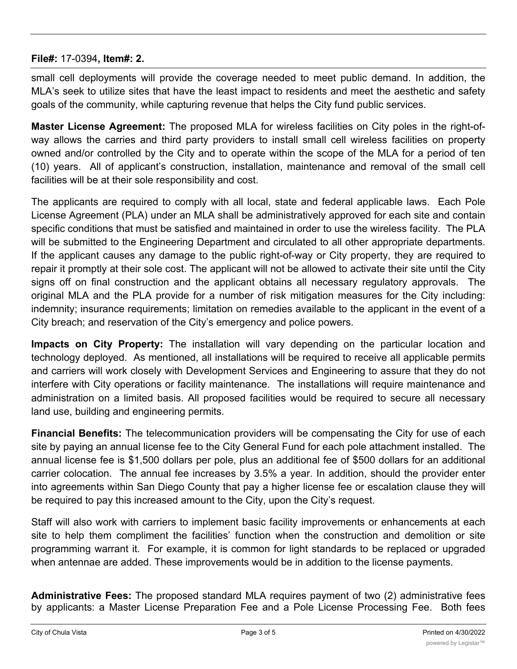small cell deployments will provide the coverage needed to meet public demand. In addition, the MLA's seek to utilize sites that have the least impact to residents and meet the aesthetic and safety goals of the community, while capturing revenue that helps the City fund public services.

**Master License Agreement:** The proposed MLA for wireless facilities on City poles in the right-ofway allows the carries and third party providers to install small cell wireless facilities on property owned and/or controlled by the City and to operate within the scope of the MLA for a period of ten (10) years. All of applicant's construction, installation, maintenance and removal of the small cell facilities will be at their sole responsibility and cost.

The applicants are required to comply with all local, state and federal applicable laws. Each Pole License Agreement (PLA) under an MLA shall be administratively approved for each site and contain specific conditions that must be satisfied and maintained in order to use the wireless facility. The PLA will be submitted to the Engineering Department and circulated to all other appropriate departments. If the applicant causes any damage to the public right-of-way or City property, they are required to repair it promptly at their sole cost. The applicant will not be allowed to activate their site until the City signs off on final construction and the applicant obtains all necessary regulatory approvals. The original MLA and the PLA provide for a number of risk mitigation measures for the City including: indemnity; insurance requirements; limitation on remedies available to the applicant in the event of a City breach; and reservation of the City's emergency and police powers.

**Impacts on City Property:** The installation will vary depending on the particular location and technology deployed. As mentioned, all installations will be required to receive all applicable permits and carriers will work closely with Development Services and Engineering to assure that they do not interfere with City operations or facility maintenance. The installations will require maintenance and administration on a limited basis. All proposed facilities would be required to secure all necessary land use, building and engineering permits.

**Financial Benefits:** The telecommunication providers will be compensating the City for use of each site by paying an annual license fee to the City General Fund for each pole attachment installed. The annual license fee is \$1,500 dollars per pole, plus an additional fee of \$500 dollars for an additional carrier colocation. The annual fee increases by 3.5% a year. In addition, should the provider enter into agreements within San Diego County that pay a higher license fee or escalation clause they will be required to pay this increased amount to the City, upon the City's request.

Staff will also work with carriers to implement basic facility improvements or enhancements at each site to help them compliment the facilities' function when the construction and demolition or site programming warrant it. For example, it is common for light standards to be replaced or upgraded when antennae are added. These improvements would be in addition to the license payments.

**Administrative Fees:** The proposed standard MLA requires payment of two (2) administrative fees by applicants: a Master License Preparation Fee and a Pole License Processing Fee. Both fees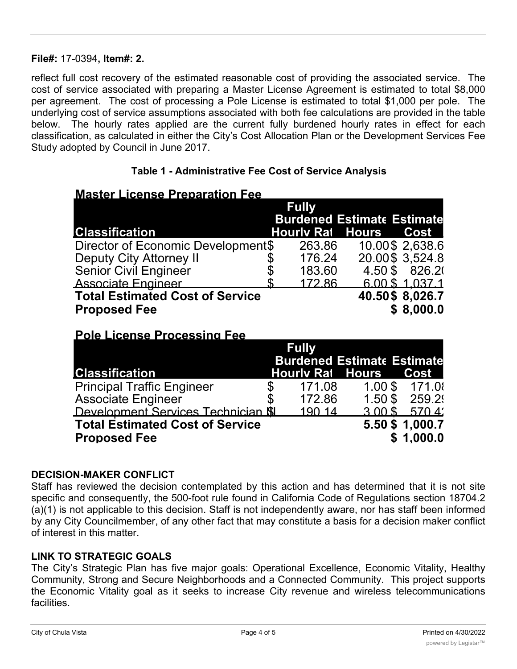reflect full cost recovery of the estimated reasonable cost of providing the associated service. The cost of service associated with preparing a Master License Agreement is estimated to total \$8,000 per agreement. The cost of processing a Pole License is estimated to total \$1,000 per pole. The underlying cost of service assumptions associated with both fee calculations are provided in the table below. The hourly rates applied are the current fully burdened hourly rates in effect for each classification, as calculated in either the City's Cost Allocation Plan or the Development Services Fee Study adopted by Council in June 2017.

## **Table 1 - Administrative Fee Cost of Service Analysis**

# **Master License Preparation Fee**

|                                        | <b>Fully</b>                      |                 |  |  |  |
|----------------------------------------|-----------------------------------|-----------------|--|--|--|
|                                        | <b>Burdened Estimate Estimate</b> |                 |  |  |  |
| <b>Classification</b>                  | <b>Hourly Rat Hours</b>           | Cost            |  |  |  |
| Director of Economic Development\$     | 263.86                            | 10.00\$ 2,638.6 |  |  |  |
| <b>Deputy City Attorney II</b>         | 176.24                            | 20.00\$ 3,524.8 |  |  |  |
| <b>Senior Civil Engineer</b>           | 183.60                            | 4.50 \$ 826.20  |  |  |  |
| <b>Associate Engineer</b>              | 172.86                            | 6.00 \$1.037.1  |  |  |  |
| <b>Total Estimated Cost of Service</b> |                                   | 40.50\$ 8,026.7 |  |  |  |
| <b>Proposed Fee</b>                    |                                   | \$8,000.0       |  |  |  |

# **Pole License Processing Fee**

|                                                               | <b>Fully</b><br><b>Burdened Estimate Estimate</b> |        |                         |                              |
|---------------------------------------------------------------|---------------------------------------------------|--------|-------------------------|------------------------------|
| <b>Classification</b>                                         |                                                   |        | <b>Hourly Rai</b> Hours | Cost                         |
| <b>Principal Traffic Engineer</b>                             |                                                   | 171.08 |                         | 1.00 \$ 171.0                |
| <b>Associate Engineer</b>                                     |                                                   | 172.86 | $1.50$ \$               | 259.2                        |
| Development Services Technician <b>SI</b>                     |                                                   | 190 14 | $3.00$ \$               | 570.4                        |
| <b>Total Estimated Cost of Service</b><br><b>Proposed Fee</b> |                                                   |        |                         | 5.50 \$ 1,000.7<br>\$1,000.0 |

## **DECISION-MAKER CONFLICT**

Staff has reviewed the decision contemplated by this action and has determined that it is not site specific and consequently, the 500-foot rule found in California Code of Regulations section 18704.2 (a)(1) is not applicable to this decision. Staff is not independently aware, nor has staff been informed by any City Councilmember, of any other fact that may constitute a basis for a decision maker conflict of interest in this matter.

## **LINK TO STRATEGIC GOALS**

The City's Strategic Plan has five major goals: Operational Excellence, Economic Vitality, Healthy Community, Strong and Secure Neighborhoods and a Connected Community. This project supports the Economic Vitality goal as it seeks to increase City revenue and wireless telecommunications facilities.